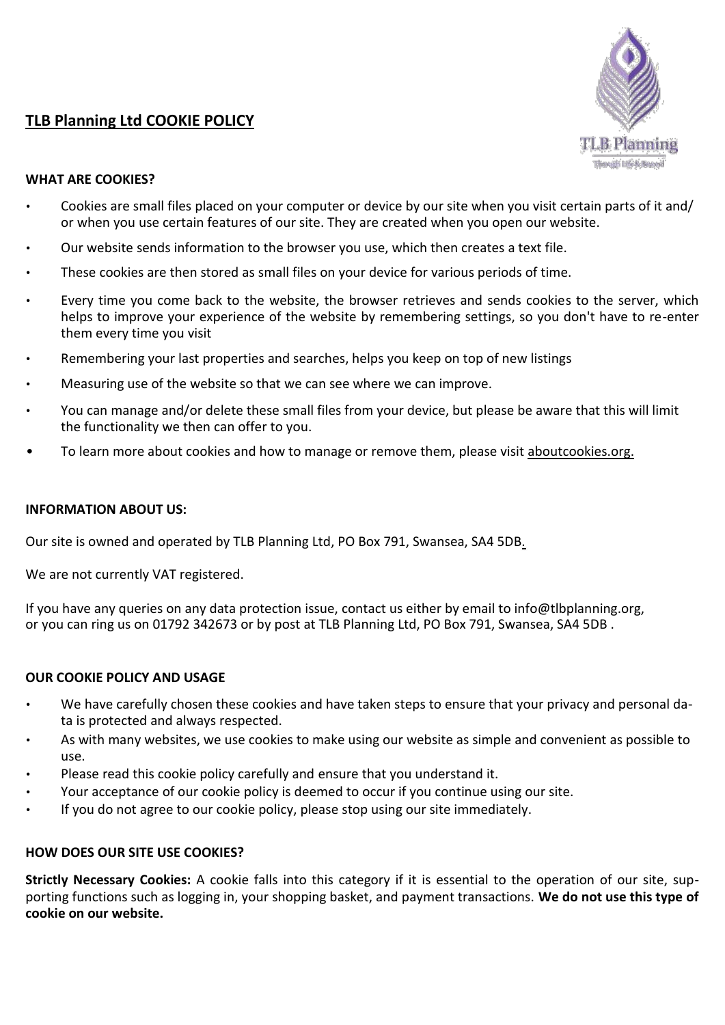# **TLB Planning Ltd COOKIE POLICY**



### **WHAT ARE COOKIES?**

- Cookies are small files placed on your computer or device by our site when you visit certain parts of it and/ or when you use certain features of our site. They are created when you open our website.
- Our website sends information to the browser you use, which then creates a text file.
- These cookies are then stored as small files on your device for various periods of time.
- Every time you come back to the website, the browser retrieves and sends cookies to the server, which helps to improve your experience of the website by remembering settings, so you don't have to re-enter them every time you visit
- Remembering your last properties and searches, helps you keep on top of new listings
- Measuring use of the website so that we can see where we can improve.
- You can manage and/or delete these small files from your device, but please be aware that this will limit the functionality we then can offer to you.
- To learn more about cookies and how to manage or remove them, please visit [aboutcookies.org.](http://www.aboutcookies.org/)

#### **INFORMATION ABOUT US:**

Our site is owned and operated by TLB Planning Ltd, PO Box 791, Swansea, SA4 5DB.

We are not currently VAT registered.

If you have any queries on any data protection issue, contact us either by email to info@tlbplanning.org, or you can ring us on 01792 342673 or by post at TLB Planning Ltd, PO Box 791, Swansea, SA4 5DB .

#### **OUR COOKIE POLICY AND USAGE**

- We have carefully chosen these cookies and have taken steps to ensure that your privacy and personal data is protected and always respected.
- As with many websites, we use cookies to make using our website as simple and convenient as possible to use.
- Please read this cookie policy carefully and ensure that you understand it.
- Your acceptance of our cookie policy is deemed to occur if you continue using our site.
- If you do not agree to our cookie policy, please stop using our site immediately.

#### **HOW DOES OUR SITE USE COOKIES?**

**Strictly Necessary Cookies:** A cookie falls into this category if it is essential to the operation of our site, supporting functions such as logging in, your shopping basket, and payment transactions. **We do not use this type of cookie on our website.**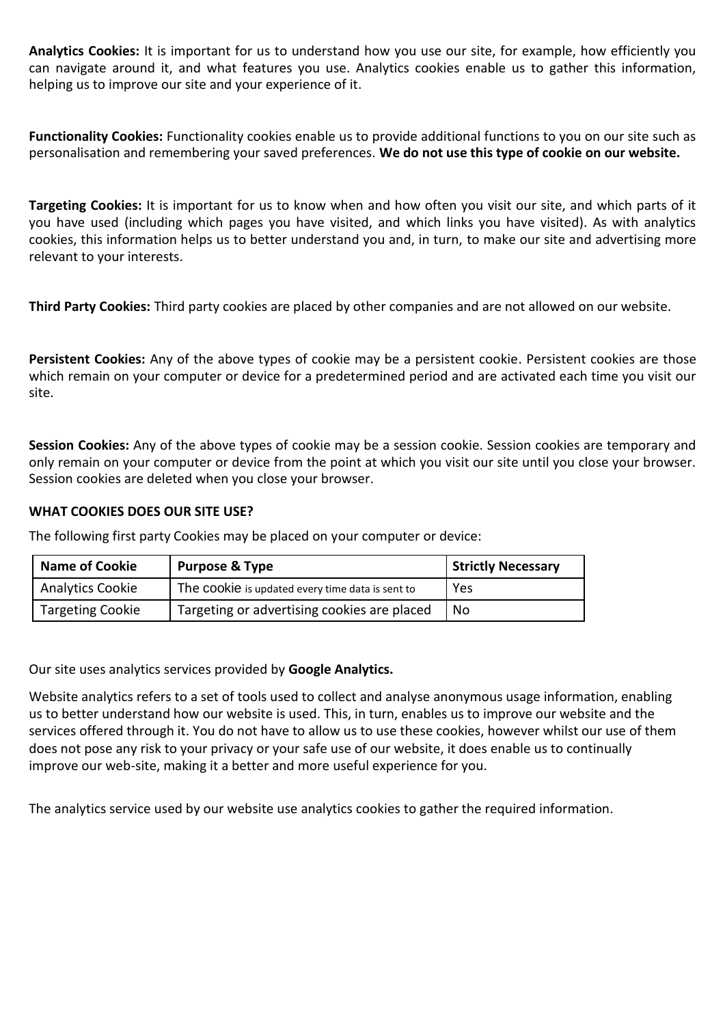**Analytics Cookies:** It is important for us to understand how you use our site, for example, how efficiently you can navigate around it, and what features you use. Analytics cookies enable us to gather this information, helping us to improve our site and your experience of it.

**Functionality Cookies:** Functionality cookies enable us to provide additional functions to you on our site such as personalisation and remembering your saved preferences. **We do not use this type of cookie on our website.**

**Targeting Cookies:** It is important for us to know when and how often you visit our site, and which parts of it you have used (including which pages you have visited, and which links you have visited). As with analytics cookies, this information helps us to better understand you and, in turn, to make our site and advertising more relevant to your interests.

**Third Party Cookies:** Third party cookies are placed by other companies and are not allowed on our website.

**Persistent Cookies:** Any of the above types of cookie may be a persistent cookie. Persistent cookies are those which remain on your computer or device for a predetermined period and are activated each time you visit our site.

**Session Cookies:** Any of the above types of cookie may be a session cookie. Session cookies are temporary and only remain on your computer or device from the point at which you visit our site until you close your browser. Session cookies are deleted when you close your browser.

## **WHAT COOKIES DOES OUR SITE USE?**

The following first party Cookies may be placed on your computer or device:

| <b>Name of Cookie</b>   | <b>Purpose &amp; Type</b>                        | <b>Strictly Necessary</b> |
|-------------------------|--------------------------------------------------|---------------------------|
| <b>Analytics Cookie</b> | The cookie is updated every time data is sent to | Yes                       |
| <b>Targeting Cookie</b> | Targeting or advertising cookies are placed      | No                        |

Our site uses analytics services provided by **Google Analytics.**

Website analytics refers to a set of tools used to collect and analyse anonymous usage information, enabling us to better understand how our website is used. This, in turn, enables us to improve our website and the services offered through it. You do not have to allow us to use these cookies, however whilst our use of them does not pose any risk to your privacy or your safe use of our website, it does enable us to continually improve our web-site, making it a better and more useful experience for you.

The analytics service used by our website use analytics cookies to gather the required information.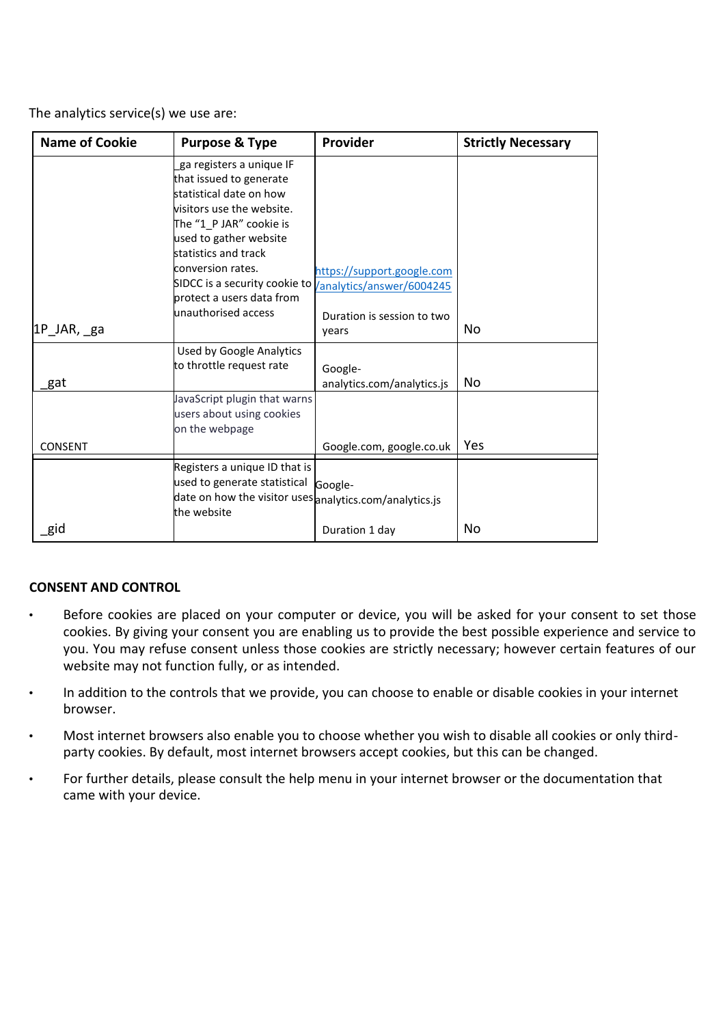The analytics service(s) we use are:

| <b>Name of Cookie</b> | <b>Purpose &amp; Type</b>                                                                                                                                                                                                                                                                                     | Provider                              | <b>Strictly Necessary</b> |
|-----------------------|---------------------------------------------------------------------------------------------------------------------------------------------------------------------------------------------------------------------------------------------------------------------------------------------------------------|---------------------------------------|---------------------------|
|                       | ga registers a unique IF<br>that issued to generate<br>statistical date on how<br>visitors use the website.<br>The "1 P JAR" cookie is<br>used to gather website<br>statistics and track<br>conversion rates.<br>SIDCC is a security cookie to <i>  analytics/answer/6004245</i><br>protect a users data from | https://support.google.com            |                           |
|                       | unauthorised access                                                                                                                                                                                                                                                                                           | Duration is session to two            |                           |
| 1P_JAR, ga            |                                                                                                                                                                                                                                                                                                               | years                                 | No                        |
| gat                   | <b>Used by Google Analytics</b><br>to throttle request rate                                                                                                                                                                                                                                                   | Google-<br>analytics.com/analytics.js | No                        |
|                       | JavaScript plugin that warns<br>users about using cookies<br>on the webpage                                                                                                                                                                                                                                   |                                       |                           |
| CONSENT               |                                                                                                                                                                                                                                                                                                               | Google.com, google.co.uk              | Yes                       |
|                       | Registers a unique ID that is<br>used to generate statistical<br>date on how the visitor uses analytics.com/analytics.js<br>the website                                                                                                                                                                       | Google-                               |                           |
| gid                   |                                                                                                                                                                                                                                                                                                               | Duration 1 day                        | No                        |

## **CONSENT AND CONTROL**

- Before cookies are placed on your computer or device, you will be asked for your consent to set those cookies. By giving your consent you are enabling us to provide the best possible experience and service to you. You may refuse consent unless those cookies are strictly necessary; however certain features of our website may not function fully, or as intended.
- In addition to the controls that we provide, you can choose to enable or disable cookies in your internet browser.
- Most internet browsers also enable you to choose whether you wish to disable all cookies or only thirdparty cookies. By default, most internet browsers accept cookies, but this can be changed.
- For further details, please consult the help menu in your internet browser or the documentation that came with your device.